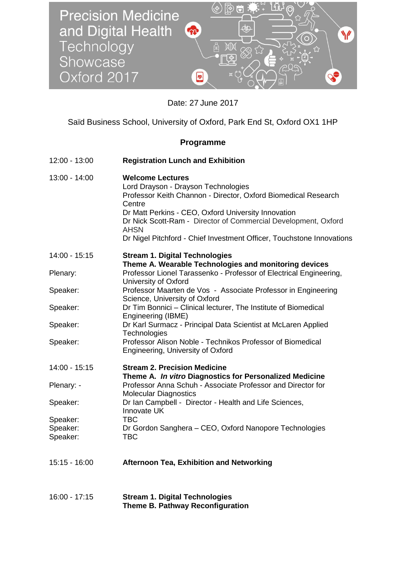

Date: 27 June 2017

Saïd Business School, University of Oxford, Park End St, Oxford OX1 1HP

## **Programme**

| 12:00 - 13:00                    | <b>Registration Lunch and Exhibition</b>                                                                                                                                                                                                                                                                                                                    |
|----------------------------------|-------------------------------------------------------------------------------------------------------------------------------------------------------------------------------------------------------------------------------------------------------------------------------------------------------------------------------------------------------------|
| 13:00 - 14:00                    | <b>Welcome Lectures</b><br>Lord Drayson - Drayson Technologies<br>Professor Keith Channon - Director, Oxford Biomedical Research<br>Centre<br>Dr Matt Perkins - CEO, Oxford University Innovation<br>Dr Nick Scott-Ram - Director of Commercial Development, Oxford<br><b>AHSN</b><br>Dr Nigel Pitchford - Chief Investment Officer, Touchstone Innovations |
| 14:00 - 15:15                    | <b>Stream 1. Digital Technologies</b>                                                                                                                                                                                                                                                                                                                       |
| Plenary:                         | Theme A. Wearable Technologies and monitoring devices<br>Professor Lionel Tarassenko - Professor of Electrical Engineering,                                                                                                                                                                                                                                 |
| Speaker:                         | University of Oxford<br>Professor Maarten de Vos - Associate Professor in Engineering                                                                                                                                                                                                                                                                       |
| Speaker:                         | Science, University of Oxford<br>Dr Tim Bonnici - Clinical lecturer, The Institute of Biomedical<br>Engineering (IBME)                                                                                                                                                                                                                                      |
| Speaker:                         | Dr Karl Surmacz - Principal Data Scientist at McLaren Applied<br>Technologies                                                                                                                                                                                                                                                                               |
| Speaker:                         | Professor Alison Noble - Technikos Professor of Biomedical<br>Engineering, University of Oxford                                                                                                                                                                                                                                                             |
| 14:00 - 15:15                    | <b>Stream 2. Precision Medicine</b>                                                                                                                                                                                                                                                                                                                         |
| Plenary: -                       | Theme A. In vitro Diagnostics for Personalized Medicine<br>Professor Anna Schuh - Associate Professor and Director for<br><b>Molecular Diagnostics</b>                                                                                                                                                                                                      |
| Speaker:                         | Dr Ian Campbell - Director - Health and Life Sciences,<br>Innovate UK                                                                                                                                                                                                                                                                                       |
| Speaker:<br>Speaker:<br>Speaker: | <b>TBC</b><br>Dr Gordon Sanghera - CEO, Oxford Nanopore Technologies<br><b>TBC</b>                                                                                                                                                                                                                                                                          |
| $15:15 - 16:00$                  | <b>Afternoon Tea, Exhibition and Networking</b>                                                                                                                                                                                                                                                                                                             |
| $16:00 - 17:15$                  | <b>Stream 1. Digital Technologies</b><br>Theme B. Pathway Reconfiguration                                                                                                                                                                                                                                                                                   |